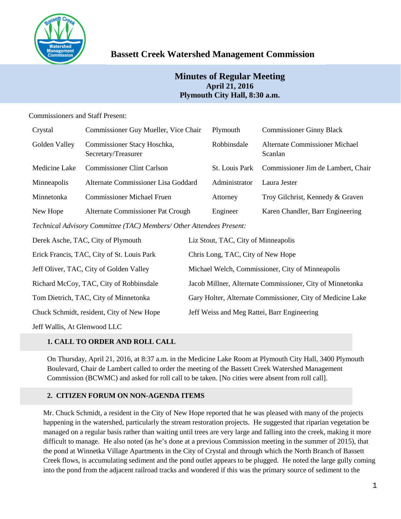

# **Bassett Creek Watershed Management Commission**

## **Minutes of Regular Meeting April 21, 2016 Plymouth City Hall, 8:30 a.m.**

## Commissioners and Staff Present:

| Crystal                                                              | Commissioner Guy Mueller, Vice Chair               | Plymouth              | <b>Commissioner Ginny Black</b>                  |  |  |
|----------------------------------------------------------------------|----------------------------------------------------|-----------------------|--------------------------------------------------|--|--|
| Golden Valley                                                        | Commissioner Stacy Hoschka,<br>Secretary/Treasurer | Robbinsdale           | <b>Alternate Commissioner Michael</b><br>Scanlan |  |  |
| Medicine Lake                                                        | <b>Commissioner Clint Carlson</b>                  | <b>St.</b> Louis Park | Commissioner Jim de Lambert, Chair               |  |  |
| Minneapolis                                                          | Alternate Commissioner Lisa Goddard                | Administrator         | Laura Jester                                     |  |  |
| Minnetonka                                                           | <b>Commissioner Michael Fruen</b>                  | Attorney              | Troy Gilchrist, Kennedy & Graven                 |  |  |
| New Hope                                                             | Alternate Commissioner Pat Crough                  | Engineer              | Karen Chandler, Barr Engineering                 |  |  |
| Technical Advisory Committee (TAC) Members/ Other Attendees Present: |                                                    |                       |                                                  |  |  |

| Derek Asche, TAC, City of Plymouth         | Liz Stout, TAC, City of Minneapolis                        |
|--------------------------------------------|------------------------------------------------------------|
| Erick Francis, TAC, City of St. Louis Park | Chris Long, TAC, City of New Hope                          |
| Jeff Oliver, TAC, City of Golden Valley    | Michael Welch, Commissioner, City of Minneapolis           |
| Richard McCoy, TAC, City of Robbinsdale    | Jacob Millner, Alternate Commissioner, City of Minnetonka  |
| Tom Dietrich, TAC, City of Minnetonka      | Gary Holter, Alternate Commissioner, City of Medicine Lake |
| Chuck Schmidt, resident, City of New Hope  | Jeff Weiss and Meg Rattei, Barr Engineering                |
|                                            |                                                            |

Jeff Wallis, At Glenwood LLC

## **1. CALL TO ORDER AND ROLL CALL**

On Thursday, April 21, 2016, at 8:37 a.m. in the Medicine Lake Room at Plymouth City Hall, 3400 Plymouth Boulevard, Chair de Lambert called to order the meeting of the Bassett Creek Watershed Management Commission (BCWMC) and asked for roll call to be taken. [No cities were absent from roll call].

## **2. CITIZEN FORUM ON NON-AGENDA ITEMS**

Mr. Chuck Schmidt, a resident in the City of New Hope reported that he was pleased with many of the projects happening in the watershed, particularly the stream restoration projects. He suggested that riparian vegetation be managed on a regular basis rather than waiting until trees are very large and falling into the creek, making it more difficult to manage. He also noted (as he's done at a previous Commission meeting in the summer of 2015), that the pond at Winnetka Village Apartments in the City of Crystal and through which the North Branch of Bassett Creek flows, is accumulating sediment and the pond outlet appears to be plugged. He noted the large gully coming into the pond from the adjacent railroad tracks and wondered if this was the primary source of sediment to the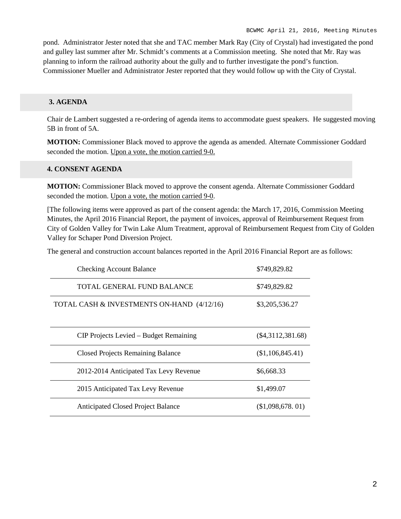pond. Administrator Jester noted that she and TAC member Mark Ray (City of Crystal) had investigated the pond and gulley last summer after Mr. Schmidt's comments at a Commission meeting. She noted that Mr. Ray was planning to inform the railroad authority about the gully and to further investigate the pond's function. Commissioner Mueller and Administrator Jester reported that they would follow up with the City of Crystal.

## **3. AGENDA**

Chair de Lambert suggested a re-ordering of agenda items to accommodate guest speakers. He suggested moving 5B in front of 5A.

**MOTION:** Commissioner Black moved to approve the agenda as amended. Alternate Commissioner Goddard seconded the motion. Upon a vote, the motion carried 9-0.

## **4. CONSENT AGENDA**

**MOTION:** Commissioner Black moved to approve the consent agenda. Alternate Commissioner Goddard seconded the motion. Upon a vote, the motion carried 9-0.

[The following items were approved as part of the consent agenda: the March 17, 2016, Commission Meeting Minutes, the April 2016 Financial Report, the payment of invoices, approval of Reimbursement Request from City of Golden Valley for Twin Lake Alum Treatment, approval of Reimbursement Request from City of Golden Valley for Schaper Pond Diversion Project.

The general and construction account balances reported in the April 2016 Financial Report are as follows:

| <b>Checking Account Balance</b>            | \$749,829.82        |
|--------------------------------------------|---------------------|
| TOTAL GENERAL FUND BALANCE                 | \$749,829.82        |
| TOTAL CASH & INVESTMENTS ON-HAND (4/12/16) | \$3,205,536.27      |
| CIP Projects Levied – Budget Remaining     | $(\$4,3112,381.68)$ |
| <b>Closed Projects Remaining Balance</b>   | (\$1,106,845.41)    |
| 2012-2014 Anticipated Tax Levy Revenue     | \$6,668.33          |
| 2015 Anticipated Tax Levy Revenue          | \$1,499.07          |
| <b>Anticipated Closed Project Balance</b>  | (\$1,098,678,01)    |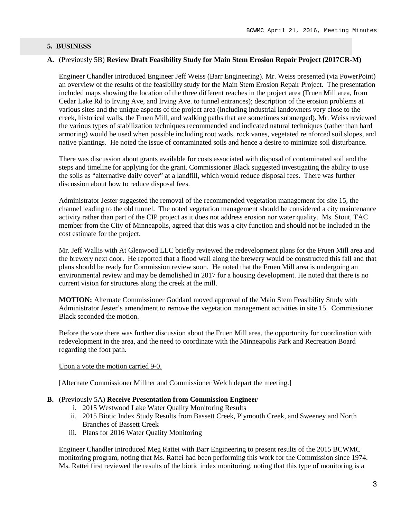#### **5. BUSINESS**

## **A.** (Previously 5B) **Review Draft Feasibility Study for Main Stem Erosion Repair Project (2017CR-M)**

Engineer Chandler introduced Engineer Jeff Weiss (Barr Engineering). Mr. Weiss presented (via PowerPoint) an overview of the results of the feasibility study for the Main Stem Erosion Repair Project. The presentation included maps showing the location of the three different reaches in the project area (Fruen Mill area, from Cedar Lake Rd to Irving Ave, and Irving Ave. to tunnel entrances); description of the erosion problems at various sites and the unique aspects of the project area (including industrial landowners very close to the creek, historical walls, the Fruen Mill, and walking paths that are sometimes submerged). Mr. Weiss reviewed the various types of stabilization techniques recommended and indicated natural techniques (rather than hard armoring) would be used when possible including root wads, rock vanes, vegetated reinforced soil slopes, and native plantings. He noted the issue of contaminated soils and hence a desire to minimize soil disturbance.

There was discussion about grants available for costs associated with disposal of contaminated soil and the steps and timeline for applying for the grant. Commissioner Black suggested investigating the ability to use the soils as "alternative daily cover" at a landfill, which would reduce disposal fees. There was further discussion about how to reduce disposal fees.

Administrator Jester suggested the removal of the recommended vegetation management for site 15, the channel leading to the old tunnel. The noted vegetation management should be considered a city maintenance activity rather than part of the CIP project as it does not address erosion nor water quality. Ms. Stout, TAC member from the City of Minneapolis, agreed that this was a city function and should not be included in the cost estimate for the project.

Mr. Jeff Wallis with At Glenwood LLC briefly reviewed the redevelopment plans for the Fruen Mill area and the brewery next door. He reported that a flood wall along the brewery would be constructed this fall and that plans should be ready for Commission review soon. He noted that the Fruen Mill area is undergoing an environmental review and may be demolished in 2017 for a housing development. He noted that there is no current vision for structures along the creek at the mill.

**MOTION:** Alternate Commissioner Goddard moved approval of the Main Stem Feasibility Study with Administrator Jester's amendment to remove the vegetation management activities in site 15. Commissioner Black seconded the motion.

Before the vote there was further discussion about the Fruen Mill area, the opportunity for coordination with redevelopment in the area, and the need to coordinate with the Minneapolis Park and Recreation Board regarding the foot path.

#### Upon a vote the motion carried 9-0.

[Alternate Commissioner Millner and Commissioner Welch depart the meeting.]

#### **B.** (Previously 5A) **Receive Presentation from Commission Engineer**

- i. 2015 Westwood Lake Water Quality Monitoring Results
- ii. 2015 Biotic Index Study Results from Bassett Creek, Plymouth Creek, and Sweeney and North Branches of Bassett Creek
- iii. Plans for 2016 Water Quality Monitoring

Engineer Chandler introduced Meg Rattei with Barr Engineering to present results of the 2015 BCWMC monitoring program, noting that Ms. Rattei had been performing this work for the Commission since 1974. Ms. Rattei first reviewed the results of the biotic index monitoring, noting that this type of monitoring is a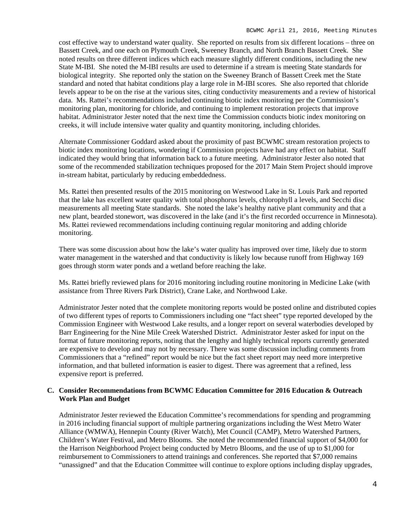cost effective way to understand water quality. She reported on results from six different locations – three on Bassett Creek, and one each on Plymouth Creek, Sweeney Branch, and North Branch Bassett Creek. She noted results on three different indices which each measure slightly different conditions, including the new State M-IBI. She noted the M-IBI results are used to determine if a stream is meeting State standards for biological integrity. She reported only the station on the Sweeney Branch of Bassett Creek met the State standard and noted that habitat conditions play a large role in M-IBI scores. She also reported that chloride levels appear to be on the rise at the various sites, citing conductivity measurements and a review of historical data. Ms. Rattei's recommendations included continuing biotic index monitoring per the Commission's monitoring plan, monitoring for chloride, and continuing to implement restoration projects that improve habitat. Administrator Jester noted that the next time the Commission conducts biotic index monitoring on creeks, it will include intensive water quality and quantity monitoring, including chlorides.

Alternate Commissioner Goddard asked about the proximity of past BCWMC stream restoration projects to biotic index monitoring locations, wondering if Commission projects have had any effect on habitat. Staff indicated they would bring that information back to a future meeting. Administrator Jester also noted that some of the recommended stabilization techniques proposed for the 2017 Main Stem Project should improve in-stream habitat, particularly by reducing embeddedness.

Ms. Rattei then presented results of the 2015 monitoring on Westwood Lake in St. Louis Park and reported that the lake has excellent water quality with total phosphorus levels, chlorophyll a levels, and Secchi disc measurements all meeting State standards. She noted the lake's healthy native plant community and that a new plant, bearded stonewort, was discovered in the lake (and it's the first recorded occurrence in Minnesota). Ms. Rattei reviewed recommendations including continuing regular monitoring and adding chloride monitoring.

There was some discussion about how the lake's water quality has improved over time, likely due to storm water management in the watershed and that conductivity is likely low because runoff from Highway 169 goes through storm water ponds and a wetland before reaching the lake.

Ms. Rattei briefly reviewed plans for 2016 monitoring including routine monitoring in Medicine Lake (with assistance from Three Rivers Park District), Crane Lake, and Northwood Lake.

Administrator Jester noted that the complete monitoring reports would be posted online and distributed copies of two different types of reports to Commissioners including one "fact sheet" type reported developed by the Commission Engineer with Westwood Lake results, and a longer report on several waterbodies developed by Barr Engineering for the Nine Mile Creek Watershed District. Administrator Jester asked for input on the format of future monitoring reports, noting that the lengthy and highly technical reports currently generated are expensive to develop and may not by necessary. There was some discussion including comments from Commissioners that a "refined" report would be nice but the fact sheet report may need more interpretive information, and that bulleted information is easier to digest. There was agreement that a refined, less expensive report is preferred.

## **C. Consider Recommendations from BCWMC Education Committee for 2016 Education & Outreach Work Plan and Budget**

Administrator Jester reviewed the Education Committee's recommendations for spending and programming in 2016 including financial support of multiple partnering organizations including the West Metro Water Alliance (WMWA), Hennepin County (River Watch), Met Council (CAMP), Metro Watershed Partners, Children's Water Festival, and Metro Blooms. She noted the recommended financial support of \$4,000 for the Harrison Neighborhood Project being conducted by Metro Blooms, and the use of up to \$1,000 for reimbursement to Commissioners to attend trainings and conferences. She reported that \$7,000 remains "unassigned" and that the Education Committee will continue to explore options including display upgrades,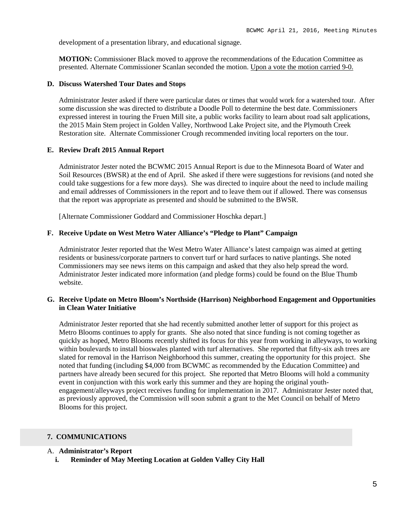development of a presentation library, and educational signage.

**MOTION:** Commissioner Black moved to approve the recommendations of the Education Committee as presented. Alternate Commissioner Scanlan seconded the motion. Upon a vote the motion carried 9-0.

#### **D. Discuss Watershed Tour Dates and Stops**

Administrator Jester asked if there were particular dates or times that would work for a watershed tour. After some discussion she was directed to distribute a Doodle Poll to determine the best date. Commissioners expressed interest in touring the Fruen Mill site, a public works facility to learn about road salt applications, the 2015 Main Stem project in Golden Valley, Northwood Lake Project site, and the Plymouth Creek Restoration site. Alternate Commissioner Crough recommended inviting local reporters on the tour.

#### **E. Review Draft 2015 Annual Report**

Administrator Jester noted the BCWMC 2015 Annual Report is due to the Minnesota Board of Water and Soil Resources (BWSR) at the end of April. She asked if there were suggestions for revisions (and noted she could take suggestions for a few more days). She was directed to inquire about the need to include mailing and email addresses of Commissioners in the report and to leave them out if allowed. There was consensus that the report was appropriate as presented and should be submitted to the BWSR.

[Alternate Commissioner Goddard and Commissioner Hoschka depart.]

#### **F. Receive Update on West Metro Water Alliance's "Pledge to Plant" Campaign**

Administrator Jester reported that the West Metro Water Alliance's latest campaign was aimed at getting residents or business/corporate partners to convert turf or hard surfaces to native plantings. She noted Commissioners may see news items on this campaign and asked that they also help spread the word. Administrator Jester indicated more information (and pledge forms) could be found on the Blue Thumb website.

## **G. Receive Update on Metro Bloom's Northside (Harrison) Neighborhood Engagement and Opportunities in Clean Water Initiative**

Administrator Jester reported that she had recently submitted another letter of support for this project as Metro Blooms continues to apply for grants. She also noted that since funding is not coming together as quickly as hoped, Metro Blooms recently shifted its focus for this year from working in alleyways, to working within boulevards to install bioswales planted with turf alternatives. She reported that fifty-six ash trees are slated for removal in the Harrison Neighborhood this summer, creating the opportunity for this project. She noted that funding (including \$4,000 from BCWMC as recommended by the Education Committee) and partners have already been secured for this project. She reported that Metro Blooms will hold a community event in conjunction with this work early this summer and they are hoping the original youthengagement/alleyways project receives funding for implementation in 2017. Administrator Jester noted that, as previously approved, the Commission will soon submit a grant to the Met Council on behalf of Metro Blooms for this project.

#### **7. COMMUNICATIONS**

#### A. **Administrator's Report**

**i. Reminder of May Meeting Location at Golden Valley City Hall**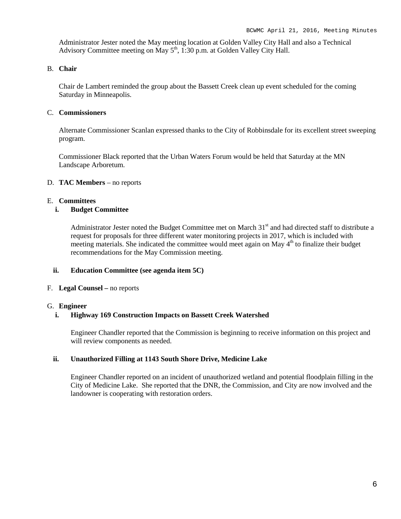Administrator Jester noted the May meeting location at Golden Valley City Hall and also a Technical Advisory Committee meeting on May  $5<sup>th</sup>$ , 1:30 p.m. at Golden Valley City Hall.

## B. **Chair**

Chair de Lambert reminded the group about the Bassett Creek clean up event scheduled for the coming Saturday in Minneapolis.

#### C. **Commissioners**

Alternate Commissioner Scanlan expressed thanks to the City of Robbinsdale for its excellent street sweeping program.

Commissioner Black reported that the Urban Waters Forum would be held that Saturday at the MN Landscape Arboretum.

#### D. **TAC Members** – no reports

#### E. **Committees**

#### **i. Budget Committee**

Administrator Jester noted the Budget Committee met on March 31<sup>st</sup> and had directed staff to distribute a request for proposals for three different water monitoring projects in 2017, which is included with meeting materials. She indicated the committee would meet again on May  $4<sup>th</sup>$  to finalize their budget recommendations for the May Commission meeting.

#### **ii. Education Committee (see agenda item 5C)**

#### F. **Legal Counsel –** no reports

#### G. **Engineer**

#### **i. Highway 169 Construction Impacts on Bassett Creek Watershed**

Engineer Chandler reported that the Commission is beginning to receive information on this project and will review components as needed.

#### **ii. Unauthorized Filling at 1143 South Shore Drive, Medicine Lake**

Engineer Chandler reported on an incident of unauthorized wetland and potential floodplain filling in the City of Medicine Lake. She reported that the DNR, the Commission, and City are now involved and the landowner is cooperating with restoration orders.